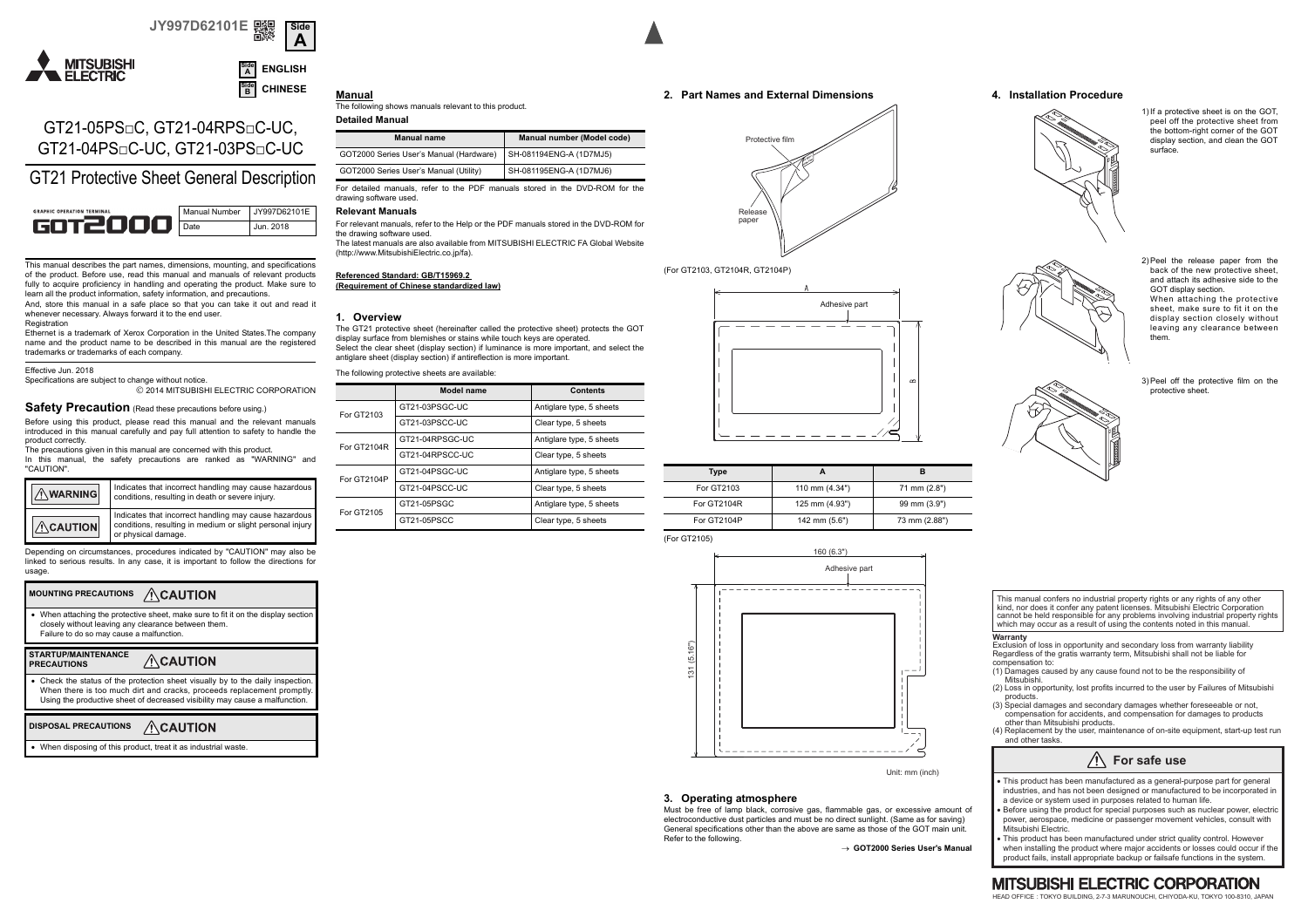#### **JY997D62101E Side A**





# GT21-05PS□C, GT21-04RPS□C-UC, GT21-04PS□C-UC, GT21-03PS□C-UC

GT21 Protective Sheet General Description



This manual describes the part names, dimensions, mounting, and specifications of the product. Before use, read this manual and manuals of relevant products fully to acquire proficiency in handling and operating the product. Make sure to learn all the product information, safety information, and precautions.

And, store this manual in a safe place so that you can take it out and read it whenever necessary. Always forward it to the end user. Registration

Ethernet is a trademark of Xerox Corporation in the United States.The company name and the product name to be described in this manual are the registered trademarks or trademarks of each company.

Effective Jun. 2018

Specifications are subject to change without notice. 2014 MITSUBISHI ELECTRIC CORPORATION

# **Safety Precaution** (Read these precautions before using.)

Before using this product, please read this manual and the relevant manuals introduced in this manual carefully and pay full attention to safety to handle the product correctly.

The precautions given in this manual are concerned with this product. In this manual, the safety precautions are ranked as "WARNING" and "CAUTION".

| WARNING         | Indicates that incorrect handling may cause hazardous<br>conditions, resulting in death or severe injury.                                 |
|-----------------|-------------------------------------------------------------------------------------------------------------------------------------------|
| $\land$ CAUTION | Indicates that incorrect handling may cause hazardous<br>conditions, resulting in medium or slight personal injury<br>or physical damage. |

Depending on circumstances, procedures indicated by "CAUTION" may also be linked to serious results. In any case, it is important to follow the directions for usage.

#### **MOUNTING PRECAUTIONS ACAUTION**

When attaching the protective sheet, make sure to fit it on the display section closely without leaving any clearance between them. Failure to do so may cause a malfunction.

#### **STARTUP/MAINTENANCE**  $\wedge$ CAUTION **PRECAUTIONS**

 Check the status of the protection sheet visually by to the daily inspection. When there is too much dirt and cracks, proceeds replacement promptly. Using the productive sheet of decreased visibility may cause a malfunction.

#### **DISPOSAL PRECAUTIONS ACAUTION**

When disposing of this product, treat it as industrial waste.

# The following shows manuals relevant to this product.

**Detailed Manual**

**Manual**

| <b>Manual name</b>                      | Manual number (Model code) |
|-----------------------------------------|----------------------------|
| GOT2000 Series User's Manual (Hardware) | SH-081194ENG-A (1D7MJ5)    |
| GOT2000 Series User's Manual (Utility)  | SH-081195ENG-A (1D7MJ6)    |

For detailed manuals, refer to the PDF manuals stored in the DVD-ROM for the drawing software used.

### **Relevant Manuals**

For relevant manuals, refer to the Help or the PDF manuals stored in the DVD-ROM for the drawing software used.

The latest manuals are also available from MITSUBISHI ELECTRIC FA Global Website (http://www.MitsubishiElectric.co.jp/fa).

### **Referenced Standard: GB/T15969.2**

### **(Requirement of Chinese standardized law)**

#### **1. Overview**

The GT21 protective sheet (hereinafter called the protective sheet) protects the GOT display surface from blemishes or stains while touch keys are operated. Select the clear sheet (display section) if luminance is more important, and select the antiglare sheet (display section) if antireflection is more important. The following protective sheets are available:

| The following protective sheets are available: |                   |                          |  |
|------------------------------------------------|-------------------|--------------------------|--|
|                                                | <b>Model name</b> | <b>Contents</b>          |  |
| For GT2103                                     | GT21-03PSGC-UC    | Antiglare type, 5 sheets |  |
|                                                | GT21-03PSCC-UC    | Clear type, 5 sheets     |  |
| For GT2104R                                    | GT21-04RPSGC-UC   | Antiglare type, 5 sheets |  |
|                                                | GT21-04RPSCC-UC   | Clear type, 5 sheets     |  |
| For GT2104P                                    | GT21-04PSGC-UC    | Antiglare type, 5 sheets |  |
|                                                | GT21-04PSCC-UC    | Clear type, 5 sheets     |  |
| For GT2105                                     | GT21-05PSGC       | Antiglare type, 5 sheets |  |
|                                                | GT21-05PSCC       | Clear type, 5 sheets     |  |
|                                                |                   |                          |  |





#### (For GT2103, GT2104R, GT2104P)



| Type        |                |               |
|-------------|----------------|---------------|
| For GT2103  | 110 mm (4.34") | 71 mm (2.8")  |
| For GT2104R | 125 mm (4.93") | 99 mm (3.9")  |
| For GT2104P | 142 mm (5.6")  | 73 mm (2.88") |



Unit: mm (inch)

### **3. Operating atmosphere**

Must be free of lamp black, corrosive gas, flammable gas, or excessive amount of electroconductive dust particles and must be no direct sunlight. (Same as for saving) General specifications other than the above are same as those of the GOT main unit. Refer to the following.

→ GOT2000 Series User's Manua

### **4. Installation Procedure**



1) If a protective sheet is on the GOT peel off the protective sheet from the bottom-right corner of the GOT display section, and clean the GOT surface.

2) Peel the release paper from the back of the new protective sheet, and attach its adhesive side to the GOT display section. When attaching the protective sheet, make sure to fit it on the display section closely without leaving any clearance between them.

3) Peel off the protective film on the protective sheet.



**Warranty**

Exclusion of loss in opportunity and secondary loss from warranty liability Regardless of the gratis warranty term, Mitsubishi shall not be liable for compensation to:

- (1) Damages caused by any cause found not to be the responsibility of Mitsubishi.
- (2) Loss in opportunity, lost profits incurred to the user by Failures of Mitsubishi products.
- (3) Special damages and secondary damages whether foreseeable or not, compensation for accidents, and compensation for damages to products other than Mitsubishi products.
- (4) Replacement by the user, maintenance of on-site equipment, start-up test run and other tasks.



This product has been manufactured as a general-purpose part for general industries, and has not been designed or manufactured to be incorporated in a device or system used in purposes related to human life.

Before using the product for special purposes such as nuclear power, electric power, aerospace, medicine or passenger movement vehicles, consult with Mitsubishi Electric.  $\bullet$ 

This product has been manufactured under strict quality control. However when installing the product where major accidents or losses could occur if the product fails, install appropriate backup or failsafe functions in the system.  $\bullet$ 

### **MITSUBISHI ELECTRIC CORPORATION**

HEAD OFFICE : TOKYO BUILDING, 2-7-3 MARUNOUCHI, CHIYODA-KU, TOKYO 100-8310, JAPAN





| Type        |                |               |
|-------------|----------------|---------------|
| For GT2103  | 110 mm (4.34") | 71 mm (2.8")  |
| For GT2104R | 125 mm (4.93") | 99 mm (3.9")  |
| For GT2104P | 142 mm (5.6")  | 73 mm (2.88") |

(For GT2105)